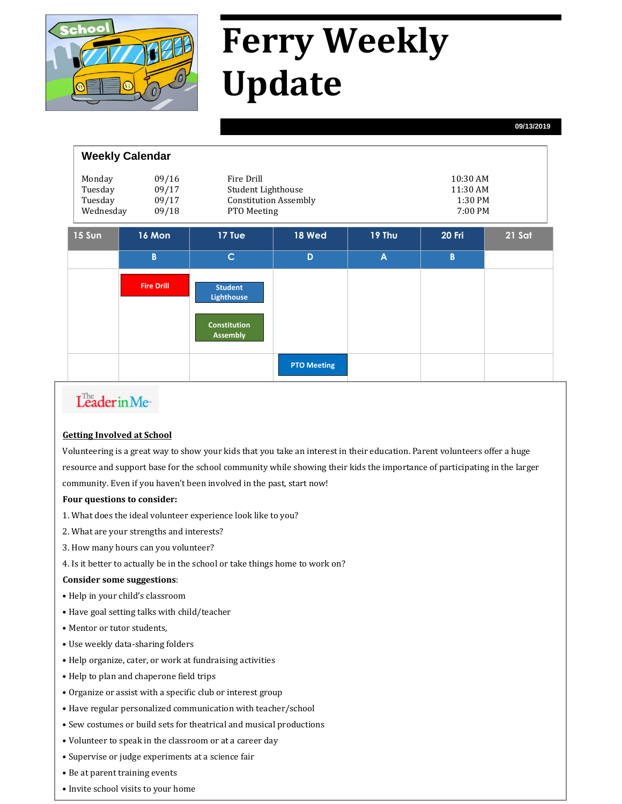

# **Ferry Weekly Update**

**09/13/2019**

| <b>Weekly Calendar</b>                                                        |                   |                                                                                 |                    |                                            |        |        |
|-------------------------------------------------------------------------------|-------------------|---------------------------------------------------------------------------------|--------------------|--------------------------------------------|--------|--------|
| Monday<br>09/16<br>09/17<br>Tuesday<br>Tuesday<br>09/17<br>Wednesday<br>09/18 |                   | Fire Drill<br>Student Lighthouse<br><b>Constitution Assembly</b><br>PTO Meeting |                    | 10:30 AM<br>11:30 AM<br>1:30 PM<br>7:00 PM |        |        |
| 15 Sun                                                                        | 16 Mon            | 17 Tue                                                                          | <b>18 Wed</b>      | 19 Thu                                     | 20 Fri | 21 Sat |
|                                                                               | B                 | $\mathsf{C}$                                                                    | D                  | $\overline{A}$                             | B      |        |
|                                                                               | <b>Fire Drill</b> | <b>Student</b><br><b>Lighthouse</b>                                             |                    |                                            |        |        |
|                                                                               |                   | <b>Constitution</b><br><b>Assembly</b>                                          |                    |                                            |        |        |
|                                                                               |                   |                                                                                 | <b>PTO Meeting</b> |                                            |        |        |

### Leader in Me-

#### **Getting Involved at School**

Volunteering is a great way to show your kids that you take an interest in their education. Parent volunteers offer a huge resource and support base for the school community while showing their kids the importance of participating in the larger community. Even if you haven't been involved in the past, start now!

#### **Four questions to consider:**

- 1. What does the ideal volunteer experience look like to you?
- 2. What are your strengths and interests?
- 3. How many hours can you volunteer?
- 4. Is it better to actually be in the school or take things home to work on?

#### **Consider some suggestions**:

- Help in your child's classroom
- Have goal setting talks with child/teacher
- Mentor or tutor students,
- Use weekly data-sharing folders
- Help organize, cater, or work at fundraising activities
- Help to plan and chaperone field trips
- Organize or assist with a specific club or interest group
- Have regular personalized communication with teacher/school
- Sew costumes or build sets for theatrical and musical productions
- Volunteer to speak in the classroom or at a career day
- Supervise or judge experiments at a science fair
- Be at parent training events
- Invite school visits to your home